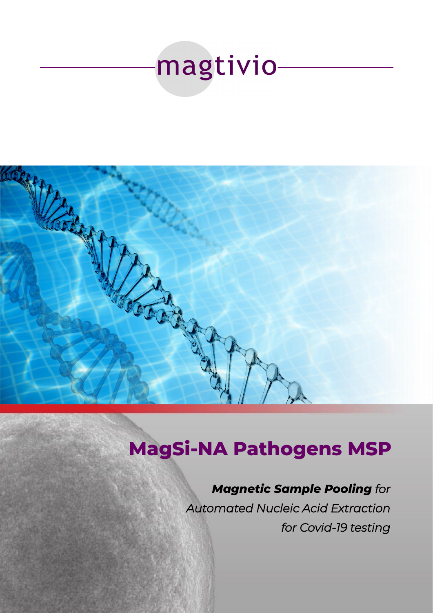



# **MagSi-NA Pathogens MSP**

## *Magnetic Sample Pooling for*

*Automated Nucleic Acid Extraction for Covid-19 testing*